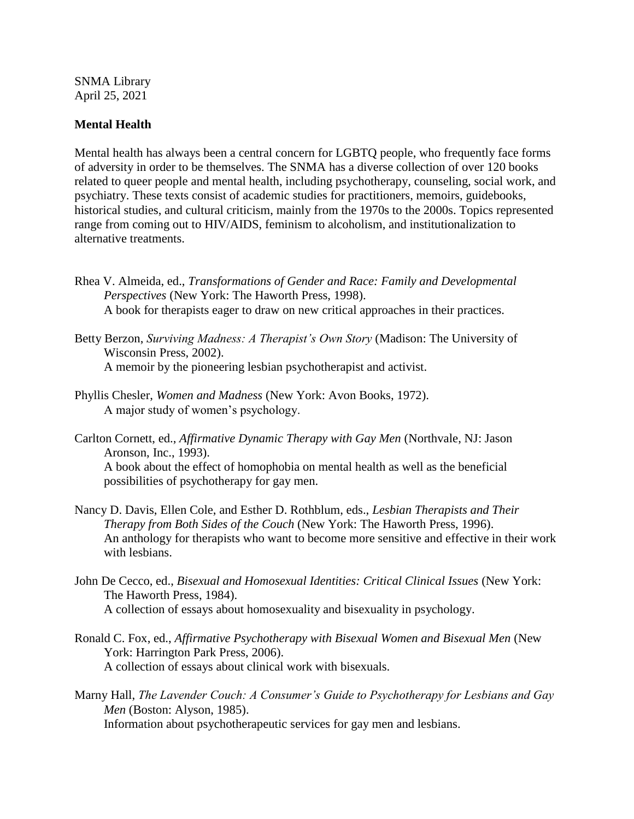SNMA Library April 25, 2021

## **Mental Health**

Mental health has always been a central concern for LGBTQ people, who frequently face forms of adversity in order to be themselves. The SNMA has a diverse collection of over 120 books related to queer people and mental health, including psychotherapy, counseling, social work, and psychiatry. These texts consist of academic studies for practitioners, memoirs, guidebooks, historical studies, and cultural criticism, mainly from the 1970s to the 2000s. Topics represented range from coming out to HIV/AIDS, feminism to alcoholism, and institutionalization to alternative treatments.

- Rhea V. Almeida, ed., *Transformations of Gender and Race: Family and Developmental Perspectives* (New York: The Haworth Press, 1998). A book for therapists eager to draw on new critical approaches in their practices.
- Betty Berzon, *Surviving Madness: A Therapist's Own Story* (Madison: The University of Wisconsin Press, 2002). A memoir by the pioneering lesbian psychotherapist and activist.
- Phyllis Chesler, *Women and Madness* (New York: Avon Books, 1972). A major study of women's psychology.
- Carlton Cornett, ed., *Affirmative Dynamic Therapy with Gay Men* (Northvale, NJ: Jason Aronson, Inc., 1993). A book about the effect of homophobia on mental health as well as the beneficial possibilities of psychotherapy for gay men.
- Nancy D. Davis, Ellen Cole, and Esther D. Rothblum, eds., *Lesbian Therapists and Their Therapy from Both Sides of the Couch* (New York: The Haworth Press, 1996). An anthology for therapists who want to become more sensitive and effective in their work with lesbians.
- John De Cecco, ed., *Bisexual and Homosexual Identities: Critical Clinical Issues* (New York: The Haworth Press, 1984). A collection of essays about homosexuality and bisexuality in psychology.
- Ronald C. Fox, ed., *Affirmative Psychotherapy with Bisexual Women and Bisexual Men* (New York: Harrington Park Press, 2006). A collection of essays about clinical work with bisexuals.
- Marny Hall, *The Lavender Couch: A Consumer's Guide to Psychotherapy for Lesbians and Gay Men* (Boston: Alyson, 1985). Information about psychotherapeutic services for gay men and lesbians.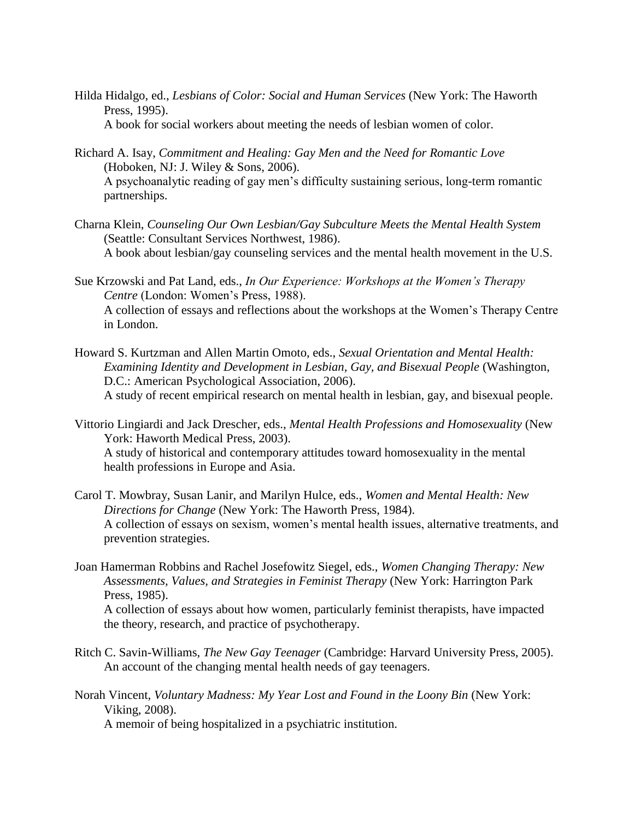- Hilda Hidalgo, ed., *Lesbians of Color: Social and Human Services* (New York: The Haworth Press, 1995). A book for social workers about meeting the needs of lesbian women of color.
- Richard A. Isay, *Commitment and Healing: Gay Men and the Need for Romantic Love*  (Hoboken, NJ: J. Wiley & Sons, 2006). A psychoanalytic reading of gay men's difficulty sustaining serious, long-term romantic partnerships.
- Charna Klein, *Counseling Our Own Lesbian/Gay Subculture Meets the Mental Health System*  (Seattle: Consultant Services Northwest, 1986). A book about lesbian/gay counseling services and the mental health movement in the U.S.
- Sue Krzowski and Pat Land, eds., *In Our Experience: Workshops at the Women's Therapy Centre* (London: Women's Press, 1988). A collection of essays and reflections about the workshops at the Women's Therapy Centre in London.
- Howard S. Kurtzman and Allen Martin Omoto, eds., *Sexual Orientation and Mental Health: Examining Identity and Development in Lesbian, Gay, and Bisexual People* (Washington, D.C.: American Psychological Association, 2006). A study of recent empirical research on mental health in lesbian, gay, and bisexual people.
- Vittorio Lingiardi and Jack Drescher, eds., *Mental Health Professions and Homosexuality* (New York: Haworth Medical Press, 2003). A study of historical and contemporary attitudes toward homosexuality in the mental health professions in Europe and Asia.
- Carol T. Mowbray, Susan Lanir, and Marilyn Hulce, eds., *Women and Mental Health: New Directions for Change* (New York: The Haworth Press, 1984). A collection of essays on sexism, women's mental health issues, alternative treatments, and prevention strategies.
- Joan Hamerman Robbins and Rachel Josefowitz Siegel, eds., *Women Changing Therapy: New Assessments, Values, and Strategies in Feminist Therapy* (New York: Harrington Park Press, 1985). A collection of essays about how women, particularly feminist therapists, have impacted

the theory, research, and practice of psychotherapy.

- Ritch C. Savin-Williams, *The New Gay Teenager* (Cambridge: Harvard University Press, 2005). An account of the changing mental health needs of gay teenagers.
- Norah Vincent, *Voluntary Madness: My Year Lost and Found in the Loony Bin* (New York: Viking, 2008).

A memoir of being hospitalized in a psychiatric institution.